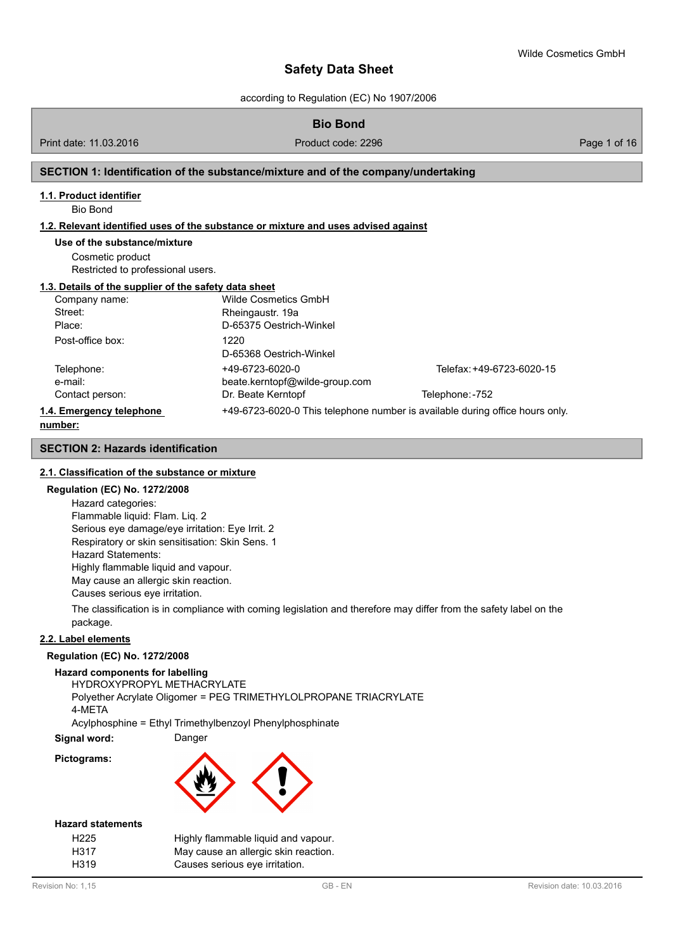according to Regulation (EC) No 1907/2006

# **Bio Bond**

Print date: 11.03.2016 **Product code: 2296** Page 1 of 16 Page 1 of 16

#### **SECTION 1: Identification of the substance/mixture and of the company/undertaking**

#### **1.1. Product identifier**

Bio Bond

#### **1.2. Relevant identified uses of the substance or mixture and uses advised against**

#### **Use of the substance/mixture**

Cosmetic product Restricted to professional users.

#### **1.3. Details of the supplier of the safety data sheet**

| Company name:            | Wilde Cosmetics GmbH           |                                                                              |
|--------------------------|--------------------------------|------------------------------------------------------------------------------|
| Street:                  | Rheingaustr. 19a               |                                                                              |
| Place:                   | D-65375 Oestrich-Winkel        |                                                                              |
| Post-office box:         | 1220                           |                                                                              |
|                          | D-65368 Oestrich-Winkel        |                                                                              |
| Telephone:               | +49-6723-6020-0                | Telefax: +49-6723-6020-15                                                    |
| e-mail:                  | beate.kerntopf@wilde-group.com |                                                                              |
| Contact person:          | Dr. Beate Kerntopf             | Telephone: -752                                                              |
| 1.4. Emergency telephone |                                | +49-6723-6020-0 This telephone number is available during office hours only. |
|                          |                                |                                                                              |

#### **number:**

#### **SECTION 2: Hazards identification**

#### **2.1. Classification of the substance or mixture**

#### **Regulation (EC) No. 1272/2008**

Hazard categories: Flammable liquid: Flam. Liq. 2 Serious eye damage/eye irritation: Eye Irrit. 2 Respiratory or skin sensitisation: Skin Sens. 1 Hazard Statements: Highly flammable liquid and vapour. May cause an allergic skin reaction. Causes serious eye irritation.

The classification is in compliance with coming legislation and therefore may differ from the safety label on the package.

#### **2.2. Label elements**

#### **Regulation (EC) No. 1272/2008**

**Hazard components for labelling**

HYDROXYPROPYL METHACRYLATE Polyether Acrylate Oligomer = PEG TRIMETHYLOLPROPANE TRIACRYLATE 4-META Acylphosphine = Ethyl Trimethylbenzoyl Phenylphosphinate

**Signal word:** Danger

**Pictograms:**



#### **Hazard statements**

| H <sub>225</sub> | Highly flammable liquid and vapour.  |
|------------------|--------------------------------------|
| H317             | May cause an allergic skin reaction. |
| H319             | Causes serious eye irritation.       |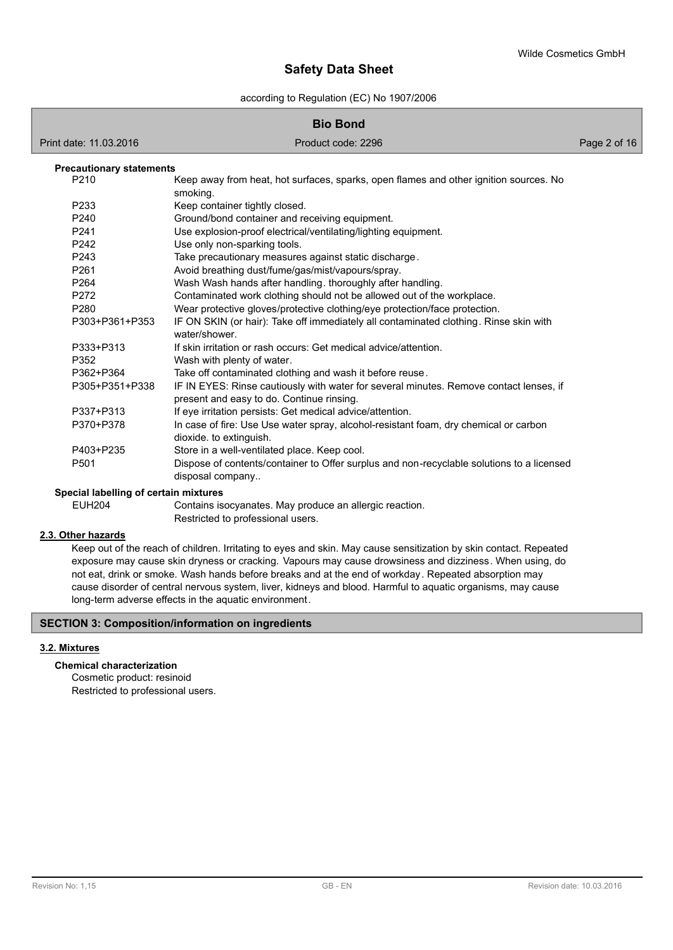according to Regulation (EC) No 1907/2006

| <b>Bio Bond</b>                       |                                                                                                                                     |              |  |
|---------------------------------------|-------------------------------------------------------------------------------------------------------------------------------------|--------------|--|
| Print date: 11.03.2016                | Product code: 2296                                                                                                                  | Page 2 of 16 |  |
| <b>Precautionary statements</b>       |                                                                                                                                     |              |  |
| P210                                  | Keep away from heat, hot surfaces, sparks, open flames and other ignition sources. No<br>smoking.                                   |              |  |
| P233                                  | Keep container tightly closed.                                                                                                      |              |  |
| P240                                  | Ground/bond container and receiving equipment.                                                                                      |              |  |
| P <sub>241</sub>                      | Use explosion-proof electrical/ventilating/lighting equipment.                                                                      |              |  |
| P242                                  | Use only non-sparking tools.                                                                                                        |              |  |
| P243                                  | Take precautionary measures against static discharge.                                                                               |              |  |
| P261                                  | Avoid breathing dust/fume/gas/mist/vapours/spray.                                                                                   |              |  |
| P <sub>264</sub>                      | Wash Wash hands after handling. thoroughly after handling.                                                                          |              |  |
| P272                                  | Contaminated work clothing should not be allowed out of the workplace.                                                              |              |  |
| P280                                  | Wear protective gloves/protective clothing/eye protection/face protection.                                                          |              |  |
| P303+P361+P353                        | IF ON SKIN (or hair): Take off immediately all contaminated clothing. Rinse skin with<br>water/shower.                              |              |  |
| P333+P313                             | If skin irritation or rash occurs: Get medical advice/attention.                                                                    |              |  |
| P352                                  | Wash with plenty of water.                                                                                                          |              |  |
| P362+P364                             | Take off contaminated clothing and wash it before reuse.                                                                            |              |  |
| P305+P351+P338                        | IF IN EYES: Rinse cautiously with water for several minutes. Remove contact lenses, if<br>present and easy to do. Continue rinsing. |              |  |
| P337+P313                             | If eye irritation persists: Get medical advice/attention.                                                                           |              |  |
| P370+P378                             | In case of fire: Use Use water spray, alcohol-resistant foam, dry chemical or carbon<br>dioxide. to extinguish.                     |              |  |
| P403+P235                             | Store in a well-ventilated place. Keep cool.                                                                                        |              |  |
| P <sub>501</sub>                      | Dispose of contents/container to Offer surplus and non-recyclable solutions to a licensed<br>disposal company                       |              |  |
| Special labelling of certain mixtures |                                                                                                                                     |              |  |
| <b>EUH204</b>                         | Contains isocyanates. May produce an allergic reaction.                                                                             |              |  |

Restricted to professional users.

#### **2.3. Other hazards**

Keep out of the reach of children. Irritating to eyes and skin. May cause sensitization by skin contact. Repeated exposure may cause skin dryness or cracking. Vapours may cause drowsiness and dizziness. When using, do not eat, drink or smoke. Wash hands before breaks and at the end of workday. Repeated absorption may cause disorder of central nervous system, liver, kidneys and blood. Harmful to aquatic organisms, may cause long-term adverse effects in the aquatic environment.

## **SECTION 3: Composition/information on ingredients**

#### **3.2. Mixtures**

**Chemical characterization**

Cosmetic product: resinoid Restricted to professional users.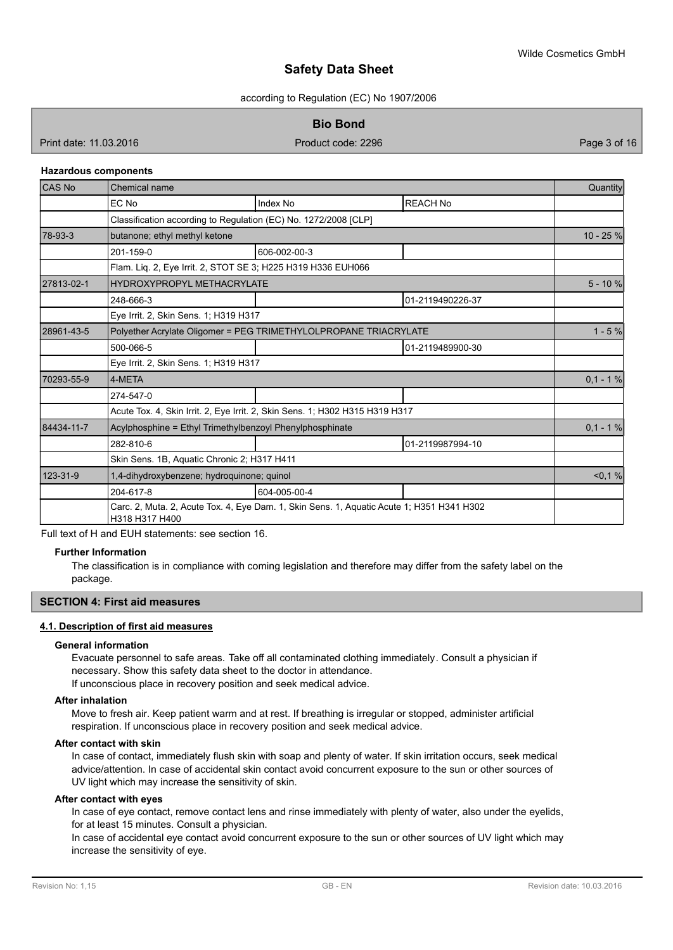according to Regulation (EC) No 1907/2006

**Bio Bond**

Print date: 11.03.2016 **Product code: 2296** Page 3 of 16

#### **Hazardous components**

| CAS <sub>No</sub>                                                                                           | Chemical name                                                    |                                                                              |                  | Quantity   |
|-------------------------------------------------------------------------------------------------------------|------------------------------------------------------------------|------------------------------------------------------------------------------|------------------|------------|
|                                                                                                             | EC No                                                            | Index No                                                                     | <b>REACH No</b>  |            |
|                                                                                                             | Classification according to Regulation (EC) No. 1272/2008 [CLP]  |                                                                              |                  |            |
| 78-93-3                                                                                                     | butanone; ethyl methyl ketone                                    |                                                                              |                  | 10 - 25 %  |
|                                                                                                             | 201-159-0                                                        | 606-002-00-3                                                                 |                  |            |
|                                                                                                             | Flam. Liq. 2, Eye Irrit. 2, STOT SE 3; H225 H319 H336 EUH066     |                                                                              |                  |            |
| 27813-02-1                                                                                                  | HYDROXYPROPYL METHACRYLATE                                       |                                                                              |                  | $5 - 10%$  |
|                                                                                                             | 248-666-3                                                        |                                                                              | 01-2119490226-37 |            |
|                                                                                                             | Eye Irrit. 2, Skin Sens. 1; H319 H317                            |                                                                              |                  |            |
| 28961-43-5                                                                                                  | Polyether Acrylate Oligomer = PEG TRIMETHYLOLPROPANE TRIACRYLATE |                                                                              |                  | $1 - 5%$   |
|                                                                                                             | 500-066-5                                                        |                                                                              | 01-2119489900-30 |            |
|                                                                                                             | Eye Irrit. 2, Skin Sens. 1; H319 H317                            |                                                                              |                  |            |
| 70293-55-9                                                                                                  | 4-META                                                           |                                                                              |                  | $0,1 - 1%$ |
|                                                                                                             | 274-547-0                                                        |                                                                              |                  |            |
|                                                                                                             |                                                                  | Acute Tox. 4, Skin Irrit. 2, Eye Irrit. 2, Skin Sens. 1; H302 H315 H319 H317 |                  |            |
| 84434-11-7                                                                                                  | Acylphosphine = Ethyl Trimethylbenzoyl Phenylphosphinate         |                                                                              |                  | $0.1 - 1%$ |
|                                                                                                             | 282-810-6                                                        |                                                                              | 01-2119987994-10 |            |
|                                                                                                             | Skin Sens. 1B, Aquatic Chronic 2; H317 H411                      |                                                                              |                  |            |
| 123-31-9                                                                                                    | 1.4-dihydroxybenzene; hydroguinone; guinol                       |                                                                              |                  | < 0, 1 %   |
|                                                                                                             | 204-617-8                                                        | 604-005-00-4                                                                 |                  |            |
| Carc. 2, Muta. 2, Acute Tox. 4, Eye Dam. 1, Skin Sens. 1, Aquatic Acute 1; H351 H341 H302<br>H318 H317 H400 |                                                                  |                                                                              |                  |            |

Full text of H and EUH statements: see section 16.

#### **Further Information**

The classification is in compliance with coming legislation and therefore may differ from the safety label on the package.

#### **SECTION 4: First aid measures**

#### **4.1. Description of first aid measures**

#### **General information**

Evacuate personnel to safe areas. Take off all contaminated clothing immediately. Consult a physician if necessary. Show this safety data sheet to the doctor in attendance. If unconscious place in recovery position and seek medical advice.

**After inhalation**

Move to fresh air. Keep patient warm and at rest. If breathing is irregular or stopped, administer artificial respiration. If unconscious place in recovery position and seek medical advice.

#### **After contact with skin**

In case of contact, immediately flush skin with soap and plenty of water. If skin irritation occurs, seek medical advice/attention. In case of accidental skin contact avoid concurrent exposure to the sun or other sources of UV light which may increase the sensitivity of skin.

#### **After contact with eyes**

In case of eye contact, remove contact lens and rinse immediately with plenty of water, also under the eyelids, for at least 15 minutes. Consult a physician.

In case of accidental eye contact avoid concurrent exposure to the sun or other sources of UV light which may increase the sensitivity of eye.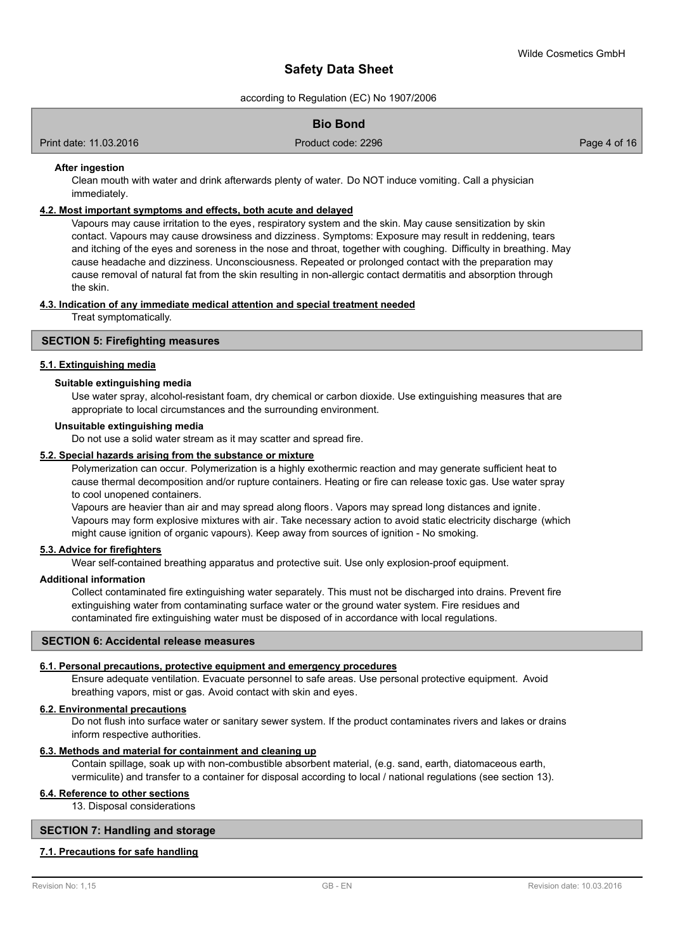according to Regulation (EC) No 1907/2006

#### **Bio Bond**

Print date: 11.03.2016 **Product code: 2296** Page 4 of 16

#### **After ingestion**

Clean mouth with water and drink afterwards plenty of water. Do NOT induce vomiting. Call a physician immediately.

#### **4.2. Most important symptoms and effects, both acute and delayed**

Vapours may cause irritation to the eyes, respiratory system and the skin. May cause sensitization by skin contact. Vapours may cause drowsiness and dizziness. Symptoms: Exposure may result in reddening, tears and itching of the eyes and soreness in the nose and throat, together with coughing. Difficulty in breathing. May cause headache and dizziness. Unconsciousness. Repeated or prolonged contact with the preparation may cause removal of natural fat from the skin resulting in non-allergic contact dermatitis and absorption through the skin.

#### **4.3. Indication of any immediate medical attention and special treatment needed**

Treat symptomatically.

#### **SECTION 5: Firefighting measures**

#### **5.1. Extinguishing media**

#### **Suitable extinguishing media**

Use water spray, alcohol-resistant foam, dry chemical or carbon dioxide. Use extinguishing measures that are appropriate to local circumstances and the surrounding environment.

#### **Unsuitable extinguishing media**

Do not use a solid water stream as it may scatter and spread fire.

#### **5.2. Special hazards arising from the substance or mixture**

Polymerization can occur. Polymerization is a highly exothermic reaction and may generate sufficient heat to cause thermal decomposition and/or rupture containers. Heating or fire can release toxic gas. Use water spray to cool unopened containers.

Vapours are heavier than air and may spread along floors. Vapors may spread long distances and ignite. Vapours may form explosive mixtures with air. Take necessary action to avoid static electricity discharge (which might cause ignition of organic vapours). Keep away from sources of ignition - No smoking.

#### **5.3. Advice for firefighters**

Wear self-contained breathing apparatus and protective suit. Use only explosion-proof equipment.

#### **Additional information**

Collect contaminated fire extinguishing water separately. This must not be discharged into drains. Prevent fire extinguishing water from contaminating surface water or the ground water system. Fire residues and contaminated fire extinguishing water must be disposed of in accordance with local regulations.

#### **SECTION 6: Accidental release measures**

# **6.1. Personal precautions, protective equipment and emergency procedures**

Ensure adequate ventilation. Evacuate personnel to safe areas. Use personal protective equipment. Avoid breathing vapors, mist or gas. Avoid contact with skin and eyes.

# **6.2. Environmental precautions**

Do not flush into surface water or sanitary sewer system. If the product contaminates rivers and lakes or drains inform respective authorities.

# **6.3. Methods and material for containment and cleaning up**

Contain spillage, soak up with non-combustible absorbent material, (e.g. sand, earth, diatomaceous earth, vermiculite) and transfer to a container for disposal according to local / national regulations (see section 13).

# **6.4. Reference to other sections**

13. Disposal considerations

#### **SECTION 7: Handling and storage**

# **7.1. Precautions for safe handling**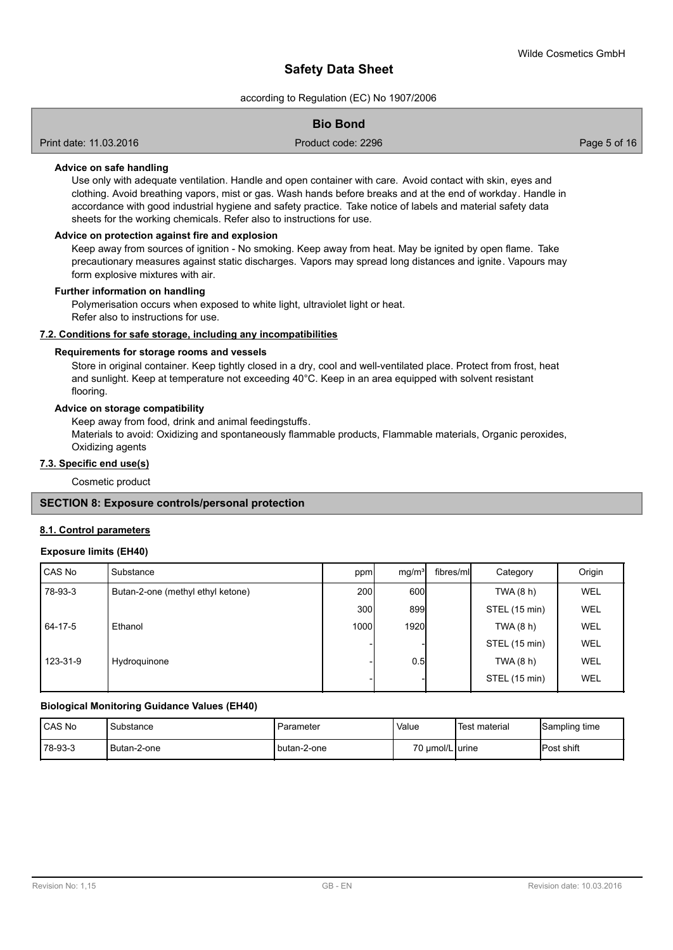according to Regulation (EC) No 1907/2006

#### **Bio Bond**

Print date: 11.03.2016 **Product code: 2296** Page 5 of 16

#### **Advice on safe handling**

Use only with adequate ventilation. Handle and open container with care. Avoid contact with skin, eyes and clothing. Avoid breathing vapors, mist or gas. Wash hands before breaks and at the end of workday. Handle in accordance with good industrial hygiene and safety practice. Take notice of labels and material safety data sheets for the working chemicals. Refer also to instructions for use.

#### **Advice on protection against fire and explosion**

Keep away from sources of ignition - No smoking. Keep away from heat. May be ignited by open flame. Take precautionary measures against static discharges. Vapors may spread long distances and ignite. Vapours may form explosive mixtures with air.

#### **Further information on handling**

Polymerisation occurs when exposed to white light, ultraviolet light or heat. Refer also to instructions for use.

#### **7.2. Conditions for safe storage, including any incompatibilities**

#### **Requirements for storage rooms and vessels**

Store in original container. Keep tightly closed in a dry, cool and well-ventilated place. Protect from frost, heat and sunlight. Keep at temperature not exceeding 40°C. Keep in an area equipped with solvent resistant flooring.

#### **Advice on storage compatibility**

Keep away from food, drink and animal feedingstuffs.

Materials to avoid: Oxidizing and spontaneously flammable products, Flammable materials, Organic peroxides, Oxidizing agents

## **7.3. Specific end use(s)**

Cosmetic product

#### **SECTION 8: Exposure controls/personal protection**

#### **8.1. Control parameters**

#### **Exposure limits (EH40)**

| CAS No   | Substance                         | ppm              | mq/m <sup>3</sup> | fibres/mll | Category      | Origin     |
|----------|-----------------------------------|------------------|-------------------|------------|---------------|------------|
| 78-93-3  | Butan-2-one (methyl ethyl ketone) | 200 <sup>1</sup> | 600               |            | TWA (8 h)     | <b>WEL</b> |
|          |                                   | 300l             | 899               |            | STEL (15 min) | WEL        |
| 64-17-5  | Ethanol                           | 1000 <b>l</b>    | <b>1920</b>       |            | TWA(8 h)      | <b>WEL</b> |
|          |                                   |                  |                   |            | STEL (15 min) | WEL        |
| 123-31-9 | Hydroquinone                      |                  | 0.5               |            | TWA(8 h)      | WEL        |
|          |                                   |                  |                   |            | STEL (15 min) | WEL        |

#### **Biological Monitoring Guidance Values (EH40)**

| <b>CAS No</b>  | Substance   | ⊦Parameter    | Value            | <b>Test material</b> | Sampling time |
|----------------|-------------|---------------|------------------|----------------------|---------------|
| $178 - 93 - 3$ | Butan-2-one | I butan-2-one | 70 umol/L lurine |                      | Post shift    |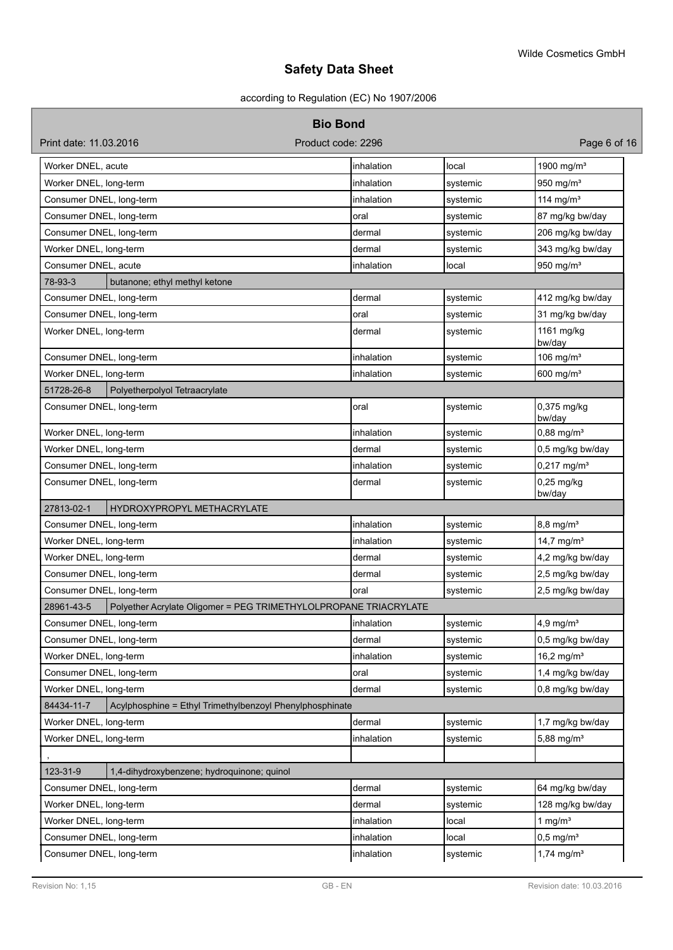# according to Regulation (EC) No 1907/2006

| <b>Bio Bond</b>                                                        |                                                                  |            |          |                           |  |
|------------------------------------------------------------------------|------------------------------------------------------------------|------------|----------|---------------------------|--|
| Print date: 11.03.2016                                                 | Product code: 2296                                               |            |          | Page 6 of 16              |  |
| Worker DNEL, acute                                                     |                                                                  | inhalation | local    | 1900 mg/m <sup>3</sup>    |  |
| Worker DNEL, long-term                                                 |                                                                  | inhalation | systemic | 950 mg/m <sup>3</sup>     |  |
| Consumer DNEL, long-term                                               |                                                                  | inhalation | systemic | 114 mg/ $m3$              |  |
| Consumer DNEL, long-term                                               |                                                                  | oral       | systemic | 87 mg/kg bw/day           |  |
| Consumer DNEL, long-term                                               |                                                                  | dermal     | systemic | 206 mg/kg bw/day          |  |
| Worker DNEL, long-term                                                 |                                                                  | dermal     | systemic | 343 mg/kg bw/day          |  |
| Consumer DNEL, acute                                                   |                                                                  | inhalation | local    | 950 mg/ $m3$              |  |
| 78-93-3                                                                | butanone; ethyl methyl ketone                                    |            |          |                           |  |
| Consumer DNEL, long-term                                               |                                                                  | dermal     | systemic | 412 mg/kg bw/day          |  |
| Consumer DNEL, long-term                                               |                                                                  | oral       | systemic | 31 mg/kg bw/day           |  |
| Worker DNEL, long-term                                                 |                                                                  | dermal     | systemic | 1161 mg/kg<br>bw/day      |  |
| Consumer DNEL, long-term                                               |                                                                  | inhalation | systemic | 106 mg/ $m3$              |  |
| Worker DNEL, long-term                                                 |                                                                  | inhalation | systemic | 600 mg/ $m3$              |  |
| 51728-26-8                                                             | Polyetherpolyol Tetraacrylate                                    |            |          |                           |  |
| Consumer DNEL, long-term                                               |                                                                  | oral       | systemic | 0,375 mg/kg<br>bw/day     |  |
| Worker DNEL, long-term                                                 |                                                                  | inhalation | systemic | $0,88 \, \text{mg/m}^3$   |  |
| Worker DNEL, long-term                                                 |                                                                  | dermal     | systemic | 0,5 mg/kg bw/day          |  |
| Consumer DNEL, long-term                                               |                                                                  | inhalation | systemic | $0,217$ mg/m <sup>3</sup> |  |
| Consumer DNEL, long-term                                               |                                                                  | dermal     | systemic | $0,25$ mg/kg<br>bw/day    |  |
| 27813-02-1                                                             | HYDROXYPROPYL METHACRYLATE                                       |            |          |                           |  |
| Consumer DNEL, long-term                                               |                                                                  | inhalation | systemic | 8,8 mg/m <sup>3</sup>     |  |
| Worker DNEL, long-term                                                 |                                                                  | inhalation | systemic | $14,7$ mg/m <sup>3</sup>  |  |
| Worker DNEL, long-term                                                 |                                                                  | dermal     | systemic | 4,2 mg/kg bw/day          |  |
| Consumer DNEL, long-term                                               |                                                                  | dermal     | systemic | 2,5 mg/kg bw/day          |  |
| Consumer DNEL, long-term                                               |                                                                  | oral       | systemic | 2,5 mg/kg bw/day          |  |
| 28961-43-5                                                             | Polyether Acrylate Oligomer = PEG TRIMETHYLOLPROPANE TRIACRYLATE |            |          |                           |  |
| Consumer DNEL, long-term                                               |                                                                  | inhalation | systemic | $4,9$ mg/m $3$            |  |
| Consumer DNEL, long-term                                               |                                                                  | dermal     | systemic | 0,5 mg/kg bw/day          |  |
| Worker DNEL, long-term                                                 |                                                                  | inhalation | systemic | 16,2 mg/ $m^3$            |  |
| Consumer DNEL, long-term                                               |                                                                  | oral       | systemic | 1,4 mg/kg bw/day          |  |
| Worker DNEL, long-term                                                 |                                                                  | dermal     | systemic | 0,8 mg/kg bw/day          |  |
| Acylphosphine = Ethyl Trimethylbenzoyl Phenylphosphinate<br>84434-11-7 |                                                                  |            |          |                           |  |
| Worker DNEL, long-term                                                 |                                                                  | dermal     | systemic | 1,7 mg/kg bw/day          |  |
| Worker DNEL, long-term                                                 |                                                                  | inhalation | systemic | 5,88 mg/ $m^3$            |  |
|                                                                        |                                                                  |            |          |                           |  |
| 123-31-9<br>1,4-dihydroxybenzene; hydroquinone; quinol                 |                                                                  |            |          |                           |  |
| Consumer DNEL, long-term                                               |                                                                  | dermal     | systemic | 64 mg/kg bw/day           |  |
| Worker DNEL, long-term                                                 |                                                                  | dermal     | systemic | 128 mg/kg bw/day          |  |
| Worker DNEL, long-term                                                 |                                                                  | inhalation | local    | 1 mg/ $m3$                |  |
| Consumer DNEL, long-term                                               |                                                                  | inhalation | local    | $0,5$ mg/m <sup>3</sup>   |  |
| Consumer DNEL, long-term                                               |                                                                  | inhalation | systemic | $1,74$ mg/m <sup>3</sup>  |  |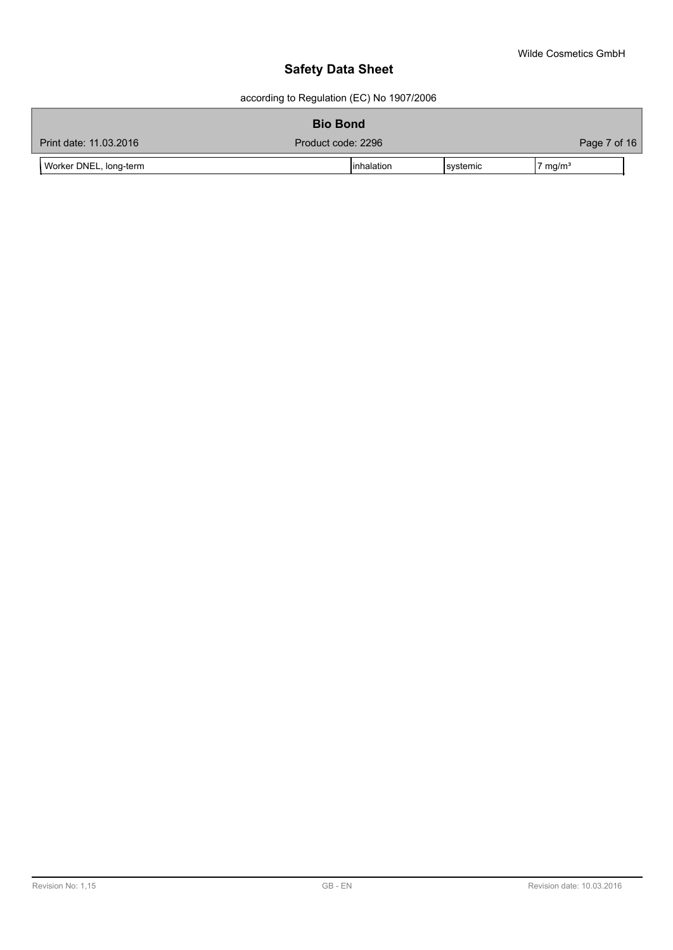according to Regulation (EC) No 1907/2006

| <b>Bio Bond</b>        |                    |                   |                    |  |
|------------------------|--------------------|-------------------|--------------------|--|
| Print date: 11.03.2016 | Product code: 2296 |                   | Page 7 of 16       |  |
| Worker DNEL, long-term | linhalation        | <b>I</b> systemic | $7 \text{ mg/m}^3$ |  |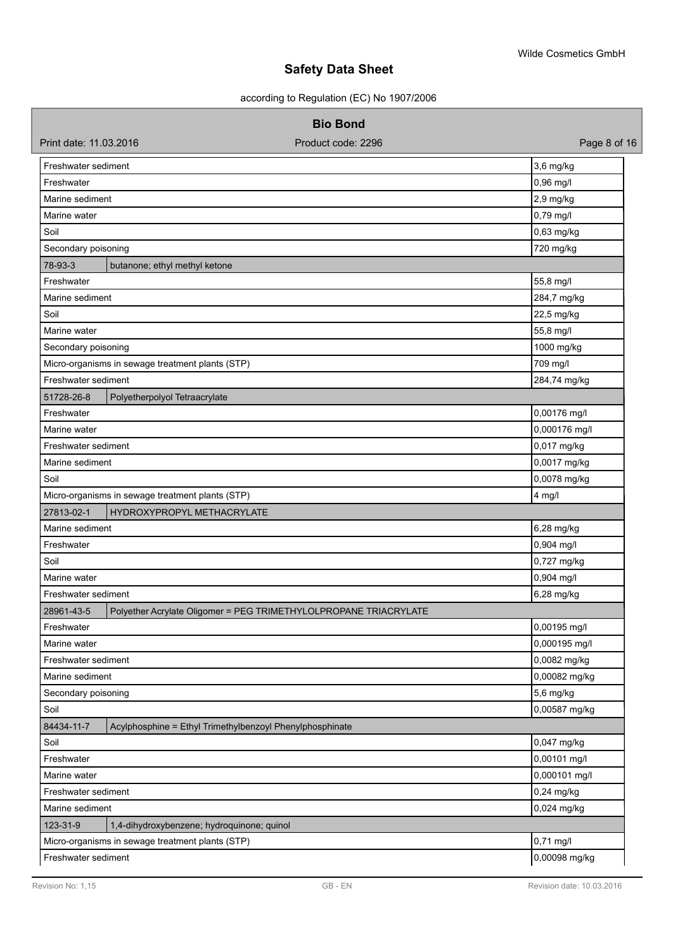according to Regulation (EC) No 1907/2006

### **Bio Bond**

| Print date: 11.03.2016 | Product code: 2296                                               | Page 8 of 16  |
|------------------------|------------------------------------------------------------------|---------------|
| Freshwater sediment    |                                                                  | 3,6 mg/kg     |
| Freshwater             |                                                                  | 0,96 mg/l     |
| Marine sediment        |                                                                  | $2,9$ mg/kg   |
| Marine water           |                                                                  | 0,79 mg/l     |
| Soil                   |                                                                  | 0,63 mg/kg    |
| Secondary poisoning    |                                                                  | 720 mg/kg     |
| 78-93-3                | butanone; ethyl methyl ketone                                    |               |
| Freshwater             |                                                                  | 55,8 mg/l     |
| Marine sediment        |                                                                  | 284,7 mg/kg   |
| Soil                   |                                                                  | 22,5 mg/kg    |
| Marine water           |                                                                  | 55,8 mg/l     |
| Secondary poisoning    |                                                                  | 1000 mg/kg    |
|                        | Micro-organisms in sewage treatment plants (STP)                 | 709 mg/l      |
| Freshwater sediment    |                                                                  | 284,74 mg/kg  |
| 51728-26-8             | Polyetherpolyol Tetraacrylate                                    |               |
| Freshwater             |                                                                  | 0,00176 mg/l  |
| Marine water           |                                                                  | 0,000176 mg/l |
| Freshwater sediment    |                                                                  | 0,017 mg/kg   |
| Marine sediment        |                                                                  | 0,0017 mg/kg  |
| Soil                   |                                                                  | 0,0078 mg/kg  |
|                        | Micro-organisms in sewage treatment plants (STP)                 | $4$ mg/l      |
| 27813-02-1             | HYDROXYPROPYL METHACRYLATE                                       |               |
| Marine sediment        |                                                                  | 6,28 mg/kg    |
| Freshwater             |                                                                  | 0,904 mg/l    |
| Soil                   |                                                                  | 0,727 mg/kg   |
| Marine water           |                                                                  | 0,904 mg/l    |
| Freshwater sediment    |                                                                  | 6,28 mg/kg    |
| 28961-43-5             | Polyether Acrylate Oligomer = PEG TRIMETHYLOLPROPANE TRIACRYLATE |               |
| Freshwater             |                                                                  | 0,00195 mg/l  |
| Marine water           |                                                                  | 0,000195 mg/l |
| Freshwater sediment    |                                                                  | 0,0082 mg/kg  |
| Marine sediment        |                                                                  | 0,00082 mg/kg |
| Secondary poisoning    |                                                                  | 5,6 mg/kg     |
| Soil                   |                                                                  | 0,00587 mg/kg |
| 84434-11-7             | Acylphosphine = Ethyl Trimethylbenzoyl Phenylphosphinate         |               |
| Soil                   |                                                                  | 0,047 mg/kg   |
| Freshwater             |                                                                  | 0,00101 mg/l  |
| Marine water           |                                                                  | 0,000101 mg/l |
| Freshwater sediment    |                                                                  | 0,24 mg/kg    |
| Marine sediment        |                                                                  | 0,024 mg/kg   |
| 123-31-9               | 1,4-dihydroxybenzene; hydroquinone; quinol                       |               |
|                        | Micro-organisms in sewage treatment plants (STP)                 | 0,71 mg/l     |
| Freshwater sediment    |                                                                  | 0,00098 mg/kg |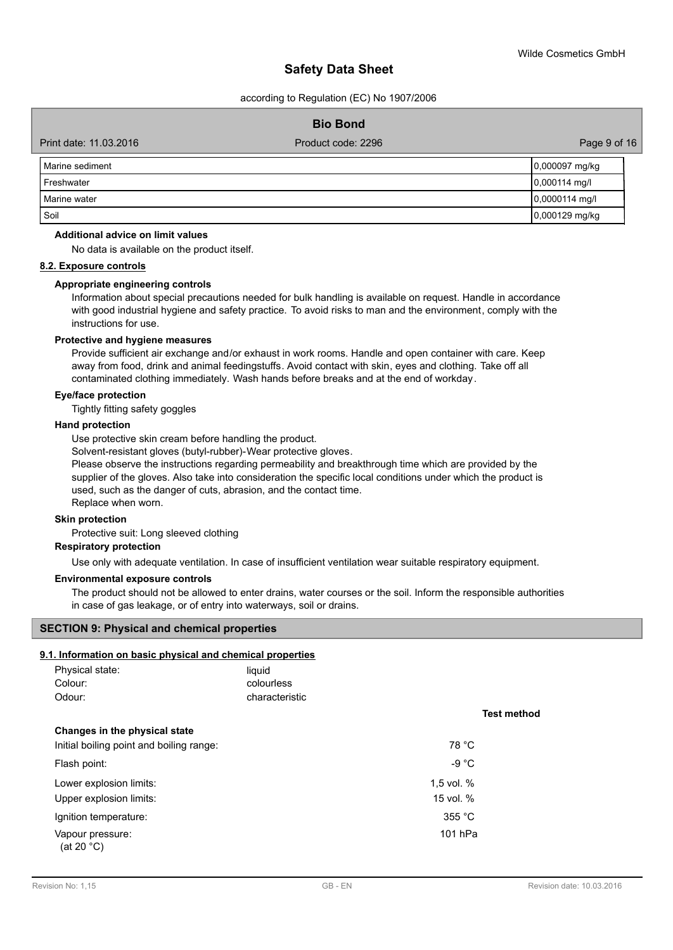according to Regulation (EC) No 1907/2006

### **Bio Bond**

Print date: 11.03.2016 **Product code: 2296** Page 9 of 16

| l Marine sediment | 0,000097 mg/kg   |
|-------------------|------------------|
| Freshwater        | $0,000114$ mg/l  |
| l Marine water    | $0,0000114$ mg/l |
| Soil              | 0,000129 mg/kg   |

#### **Additional advice on limit values**

No data is available on the product itself.

#### **8.2. Exposure controls**

#### **Appropriate engineering controls**

Information about special precautions needed for bulk handling is available on request. Handle in accordance with good industrial hygiene and safety practice. To avoid risks to man and the environment, comply with the instructions for use.

#### **Protective and hygiene measures**

Provide sufficient air exchange and/or exhaust in work rooms. Handle and open container with care. Keep away from food, drink and animal feedingstuffs. Avoid contact with skin, eyes and clothing. Take off all contaminated clothing immediately. Wash hands before breaks and at the end of workday.

#### **Eye/face protection**

Tightly fitting safety goggles

#### **Hand protection**

Use protective skin cream before handling the product.

Solvent-resistant gloves (butyl-rubber)-Wear protective gloves.

Please observe the instructions regarding permeability and breakthrough time which are provided by the supplier of the gloves. Also take into consideration the specific local conditions under which the product is used, such as the danger of cuts, abrasion, and the contact time. Replace when worn.

#### **Skin protection**

Protective suit: Long sleeved clothing

#### **Respiratory protection**

Use only with adequate ventilation. In case of insufficient ventilation wear suitable respiratory equipment.

#### **Environmental exposure controls**

The product should not be allowed to enter drains, water courses or the soil. Inform the responsible authorities in case of gas leakage, or of entry into waterways, soil or drains.

# **SECTION 9: Physical and chemical properties**

#### **9.1. Information on basic physical and chemical properties**

| Physical state:<br>Colour:<br>Odour:     | liquid<br>colourless<br>characteristic |                    |
|------------------------------------------|----------------------------------------|--------------------|
|                                          |                                        | <b>Test method</b> |
| Changes in the physical state            |                                        |                    |
| Initial boiling point and boiling range: |                                        | 78 °C              |
| Flash point:                             |                                        | -9 $^{\circ}$ C    |
| Lower explosion limits:                  |                                        | 1,5 vol. %         |
| Upper explosion limits:                  |                                        | 15 vol. %          |
| Ignition temperature:                    |                                        | 355 °C             |
| Vapour pressure:<br>(at 20 °C)           |                                        | 101 hPa            |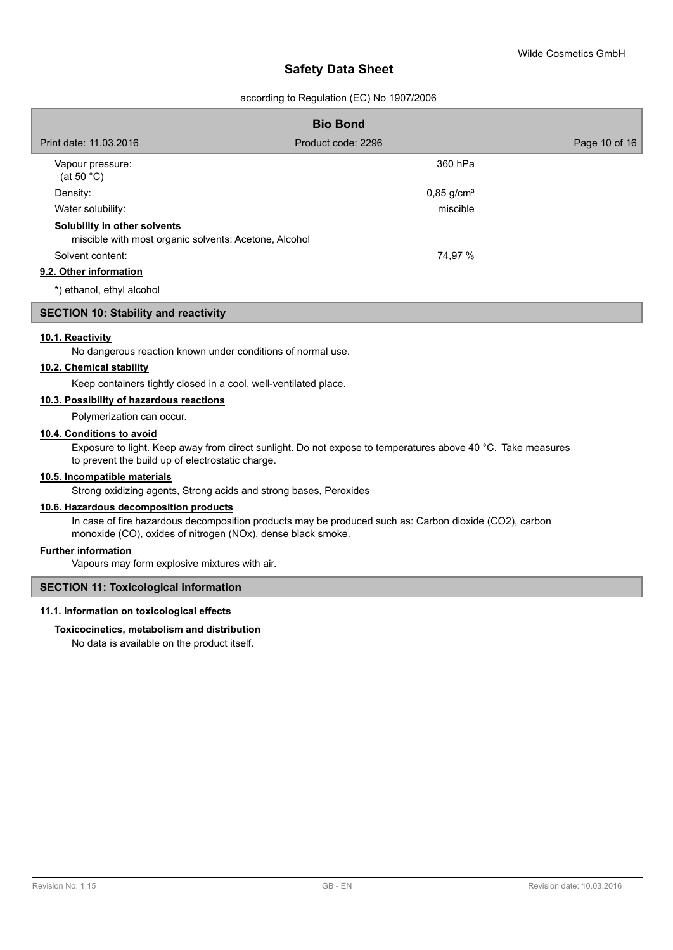#### according to Regulation (EC) No 1907/2006

| <b>Bio Bond</b>                                                                       |                          |               |  |  |
|---------------------------------------------------------------------------------------|--------------------------|---------------|--|--|
| Print date: 11.03.2016                                                                | Product code: 2296       | Page 10 of 16 |  |  |
| Vapour pressure:<br>(at 50 $^{\circ}$ C)                                              | 360 hPa                  |               |  |  |
| Density:                                                                              | $0,85$ g/cm <sup>3</sup> |               |  |  |
| Water solubility:                                                                     | miscible                 |               |  |  |
| Solubility in other solvents<br>miscible with most organic solvents: Acetone, Alcohol |                          |               |  |  |
| Solvent content:                                                                      | 74,97 %                  |               |  |  |
| 9.2. Other information                                                                |                          |               |  |  |
| *) ethanol, ethyl alcohol                                                             |                          |               |  |  |

#### **SECTION 10: Stability and reactivity**

#### **10.1. Reactivity**

No dangerous reaction known under conditions of normal use.

### **10.2. Chemical stability**

Keep containers tightly closed in a cool, well-ventilated place.

#### **10.3. Possibility of hazardous reactions**

Polymerization can occur.

#### **10.4. Conditions to avoid**

Exposure to light. Keep away from direct sunlight. Do not expose to temperatures above 40 °C. Take measures to prevent the build up of electrostatic charge.

#### **10.5. Incompatible materials**

Strong oxidizing agents, Strong acids and strong bases, Peroxides

## **10.6. Hazardous decomposition products**

In case of fire hazardous decomposition products may be produced such as: Carbon dioxide (CO2), carbon monoxide (CO), oxides of nitrogen (NOx), dense black smoke.

#### **Further information**

Vapours may form explosive mixtures with air.

#### **SECTION 11: Toxicological information**

#### **11.1. Information on toxicological effects**

#### **Toxicocinetics, metabolism and distribution**

No data is available on the product itself.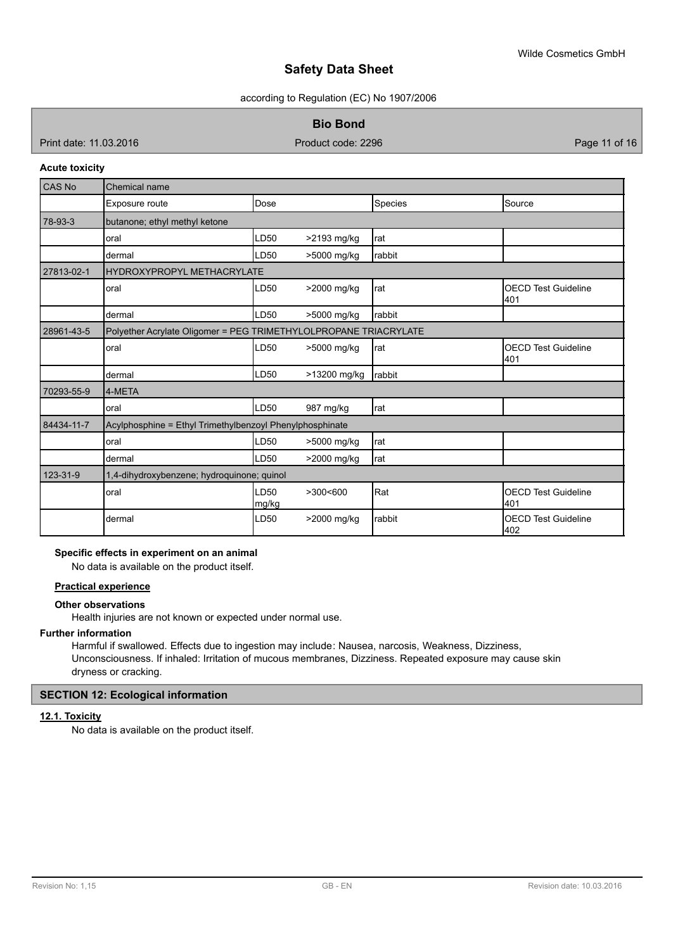according to Regulation (EC) No 1907/2006

**Bio Bond**

Print date: 11.03.2016 **Product code: 2296** Product code: 2296 **Product code: 2296** Page 11 of 16

#### **Acute toxicity**

| <b>CAS No</b> | Chemical name                                                    |                  |              |            |                                   |  |
|---------------|------------------------------------------------------------------|------------------|--------------|------------|-----------------------------------|--|
|               | Exposure route                                                   | Dose             |              | Species    | Source                            |  |
| 78-93-3       | butanone; ethyl methyl ketone                                    |                  |              |            |                                   |  |
|               | oral                                                             | LD50             | >2193 mg/kg  | rat        |                                   |  |
|               | dermal                                                           | LD50             | >5000 mg/kg  | rabbit     |                                   |  |
| 27813-02-1    | <b>HYDROXYPROPYL METHACRYLATE</b>                                |                  |              |            |                                   |  |
|               | oral                                                             | LD50             | >2000 mg/kg  | rat        | <b>OECD Test Guideline</b><br>401 |  |
|               | dermal                                                           | LD50             | >5000 mg/kg  | rabbit     |                                   |  |
| 28961-43-5    | Polyether Acrylate Oligomer = PEG TRIMETHYLOLPROPANE TRIACRYLATE |                  |              |            |                                   |  |
|               | oral                                                             | LD50             | >5000 mg/kg  | Irat       | <b>OECD Test Guideline</b><br>401 |  |
|               | dermal                                                           | LD <sub>50</sub> | >13200 mg/kg | rabbit     |                                   |  |
| 70293-55-9    | 4-META                                                           |                  |              |            |                                   |  |
|               | oral                                                             | LD50             | 987 mg/kg    | Irat       |                                   |  |
| 84434-11-7    | Acylphosphine = Ethyl Trimethylbenzoyl Phenylphosphinate         |                  |              |            |                                   |  |
|               | oral                                                             | LD50             | >5000 mg/kg  | rat        |                                   |  |
|               | dermal                                                           | LD50             | >2000 mg/kg  | <b>rat</b> |                                   |  |
| 123-31-9      | 1,4-dihydroxybenzene; hydroquinone; quinol                       |                  |              |            |                                   |  |
|               | oral                                                             | LD50<br>mg/kg    | >300<600     | Rat        | <b>OECD Test Guideline</b><br>401 |  |
|               | dermal                                                           | LD50             | >2000 mg/kg  | rabbit     | <b>OECD Test Guideline</b><br>402 |  |

#### **Specific effects in experiment on an animal**

No data is available on the product itself.

#### **Practical experience**

#### **Other observations**

Health injuries are not known or expected under normal use.

#### **Further information**

Harmful if swallowed. Effects due to ingestion may include: Nausea, narcosis, Weakness, Dizziness, Unconsciousness. If inhaled: Irritation of mucous membranes, Dizziness. Repeated exposure may cause skin dryness or cracking.

## **SECTION 12: Ecological information**

# **12.1. Toxicity**

No data is available on the product itself.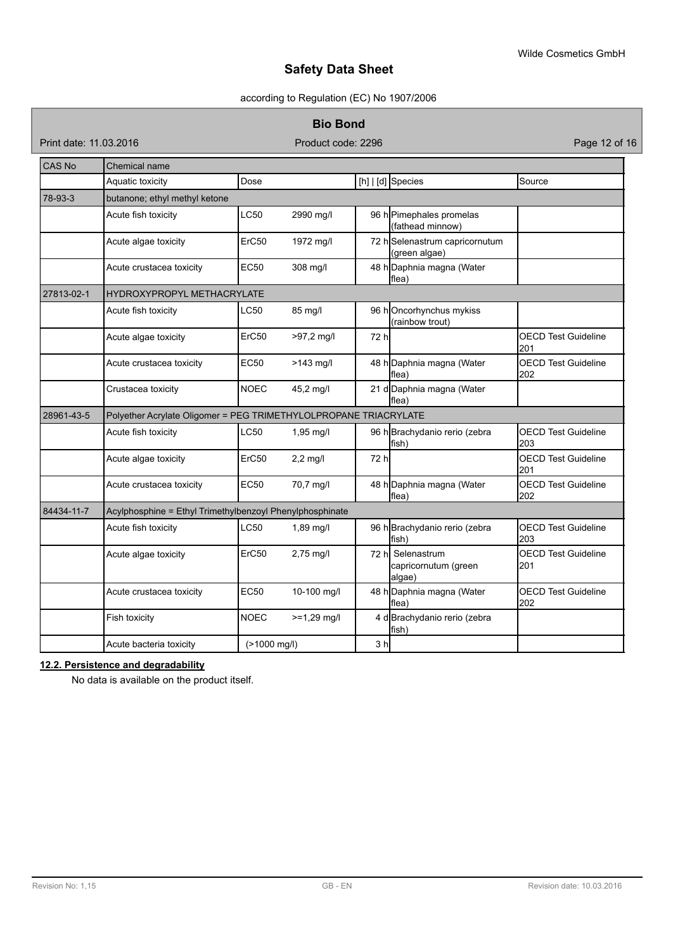## according to Regulation (EC) No 1907/2006

#### **Bio Bond**

Print date: 11.03.2016 **Product code: 2296** Product code: 2296 **Page 12 of 16** 

| <b>CAS No</b> | Chemical name                                                    |              |               |                |                                                     |                                   |  |  |
|---------------|------------------------------------------------------------------|--------------|---------------|----------------|-----------------------------------------------------|-----------------------------------|--|--|
|               | Aquatic toxicity                                                 | Dose         |               |                | [h]   [d] Species                                   | Source                            |  |  |
| 78-93-3       | butanone; ethyl methyl ketone                                    |              |               |                |                                                     |                                   |  |  |
|               | Acute fish toxicity                                              | LC50         | 2990 mg/l     |                | 96 h Pimephales promelas<br>(fathead minnow)        |                                   |  |  |
|               | Acute algae toxicity                                             | ErC50        | 1972 mg/l     |                | 72 h Selenastrum capricornutum<br>(green algae)     |                                   |  |  |
|               | Acute crustacea toxicity                                         | <b>EC50</b>  | 308 mg/l      |                | 48 h Daphnia magna (Water<br>lflea)                 |                                   |  |  |
| 27813-02-1    | <b>HYDROXYPROPYL METHACRYLATE</b>                                |              |               |                |                                                     |                                   |  |  |
|               | Acute fish toxicity                                              | LC50         | 85 mg/l       |                | 96 hOncorhynchus mykiss<br>(rainbow trout)          |                                   |  |  |
|               | Acute algae toxicity                                             | ErC50        | $>97.2$ mg/l  | 72 hl          |                                                     | <b>OECD Test Guideline</b><br>201 |  |  |
|               | Acute crustacea toxicity                                         | <b>EC50</b>  | $>143$ mg/l   |                | 48 h Daphnia magna (Water<br>flea)                  | <b>OECD Test Guideline</b><br>202 |  |  |
|               | Crustacea toxicity                                               | <b>NOEC</b>  | 45,2 mg/l     |                | 21 d Daphnia magna (Water<br>flea)                  |                                   |  |  |
| 28961-43-5    | Polyether Acrylate Oligomer = PEG TRIMETHYLOLPROPANE TRIACRYLATE |              |               |                |                                                     |                                   |  |  |
|               | Acute fish toxicity                                              | <b>LC50</b>  | 1,95 mg/l     |                | 96 h Brachydanio rerio (zebra<br>fish)              | <b>OECD Test Guideline</b><br>203 |  |  |
|               | Acute algae toxicity                                             | ErC50        | $2,2$ mg/l    | 72 h           |                                                     | <b>OECD Test Guideline</b><br>201 |  |  |
|               | Acute crustacea toxicity                                         | <b>EC50</b>  | 70,7 mg/l     |                | 48 h Daphnia magna (Water<br>flea)                  | <b>OECD Test Guideline</b><br>202 |  |  |
| 84434-11-7    | Acylphosphine = Ethyl Trimethylbenzoyl Phenylphosphinate         |              |               |                |                                                     |                                   |  |  |
|               | Acute fish toxicity                                              | LC50         | 1,89 mg/l     |                | 96 h Brachydanio rerio (zebra<br>fish)              | <b>OECD Test Guideline</b><br>203 |  |  |
|               | Acute algae toxicity                                             | ErC50        | 2,75 mg/l     |                | 72 hl Selenastrum<br>capricornutum (green<br>alqae) | <b>OECD Test Guideline</b><br>201 |  |  |
|               | Acute crustacea toxicity                                         | <b>EC50</b>  | 10-100 mg/l   |                | 48 h Daphnia magna (Water<br>lflea)                 | <b>OECD Test Guideline</b><br>202 |  |  |
|               | Fish toxicity                                                    | <b>NOEC</b>  | $>=1,29$ mg/l |                | 4 d Brachydanio rerio (zebra<br>lfish)              |                                   |  |  |
|               | Acute bacteria toxicity                                          | (>1000 mg/l) |               | 3 <sub>h</sub> |                                                     |                                   |  |  |

# **12.2. Persistence and degradability**

No data is available on the product itself.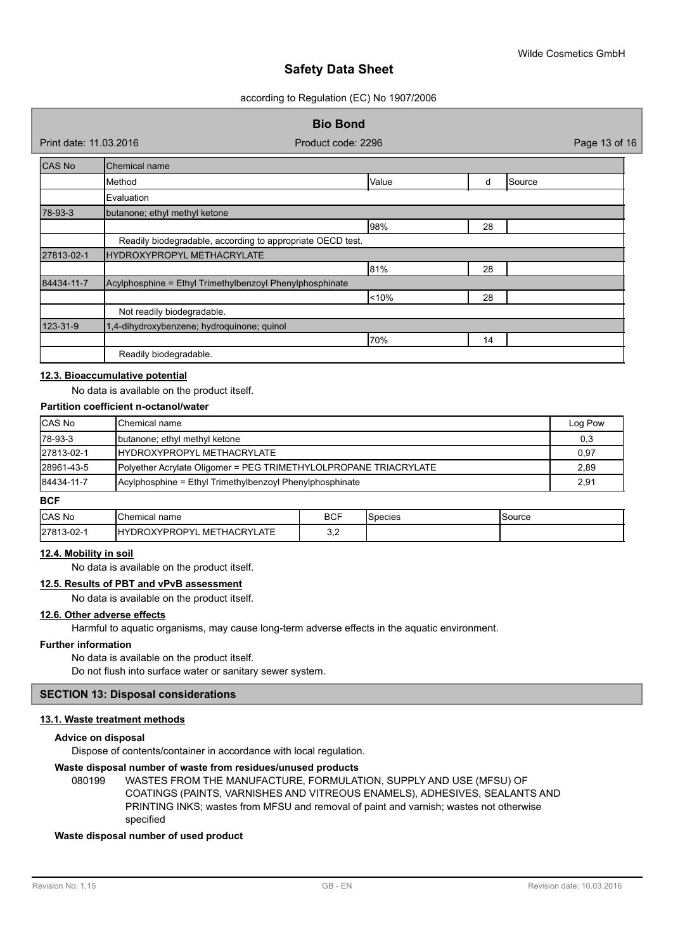according to Regulation (EC) No 1907/2006

|                        |                                                          | <b>Bio Bond</b>                                            |       |    |        |               |
|------------------------|----------------------------------------------------------|------------------------------------------------------------|-------|----|--------|---------------|
| Print date: 11.03.2016 |                                                          | Product code: 2296                                         |       |    |        | Page 13 of 16 |
| <b>CAS No</b>          | Chemical name                                            |                                                            |       |    |        |               |
|                        | Method                                                   |                                                            | Value | d  | Source |               |
|                        | Evaluation                                               |                                                            |       |    |        |               |
| 78-93-3                | butanone; ethyl methyl ketone                            |                                                            |       |    |        |               |
|                        |                                                          |                                                            | 98%   | 28 |        |               |
|                        |                                                          | Readily biodegradable, according to appropriate OECD test. |       |    |        |               |
| 27813-02-1             | IHYDROXYPROPYL METHACRYLATE                              |                                                            |       |    |        |               |
|                        |                                                          |                                                            | 81%   | 28 |        |               |
| 84434-11-7             | Acylphosphine = Ethyl Trimethylbenzoyl Phenylphosphinate |                                                            |       |    |        |               |
|                        |                                                          |                                                            | < 10% | 28 |        |               |
|                        | Not readily biodegradable.                               |                                                            |       |    |        |               |
| 123-31-9               | 1,4-dihydroxybenzene; hydroquinone; quinol               |                                                            |       |    |        |               |
|                        |                                                          |                                                            | 70%   | 14 |        |               |
|                        | Readily biodegradable.                                   |                                                            |       |    |        |               |

#### **12.3. Bioaccumulative potential**

#### No data is available on the product itself.

#### **Partition coefficient n-octanol/water**

| <b>CAS No</b> | <b>I</b> Chemical name                                           | Log Pow |
|---------------|------------------------------------------------------------------|---------|
| $ 78-93-3$    | butanone; ethyl methyl ketone                                    | 0,3     |
| 27813-02-1    | <b>IHYDROXYPROPYL METHACRYLATE</b>                               | 0,97    |
| 28961-43-5    | Polyether Acrylate Oligomer = PEG TRIMETHYLOLPROPANE TRIACRYLATE | 2,89    |
| 84434-11-7    | Acylphosphine = Ethyl Trimethylbenzoyl Phenylphosphinate         | 2,91    |

#### **BCF**

| <b>CAS</b><br>: Nc        | Chemical IIL.<br>name                                                           | <b>BCF</b><br>$\sim$ $\sim$ | pecies | source |
|---------------------------|---------------------------------------------------------------------------------|-----------------------------|--------|--------|
| 278<br>3-02- <sup>.</sup> | <b>ATE</b><br>_ METHACRY'<br>LВ<br>OD.<br>.OPY<br>DR′،<br>-<br>n<br><b>LAIL</b> | J.L                         |        |        |

#### **12.4. Mobility in soil**

No data is available on the product itself.

#### **12.5. Results of PBT and vPvB assessment**

No data is available on the product itself.

#### **12.6. Other adverse effects**

Harmful to aquatic organisms, may cause long-term adverse effects in the aquatic environment.

#### **Further information**

No data is available on the product itself. Do not flush into surface water or sanitary sewer system.

#### **SECTION 13: Disposal considerations**

#### **13.1. Waste treatment methods**

#### **Advice on disposal**

Dispose of contents/container in accordance with local regulation.

#### **Waste disposal number of waste from residues/unused products**

080199 WASTES FROM THE MANUFACTURE, FORMULATION, SUPPLY AND USE (MFSU) OF COATINGS (PAINTS, VARNISHES AND VITREOUS ENAMELS), ADHESIVES, SEALANTS AND PRINTING INKS; wastes from MFSU and removal of paint and varnish; wastes not otherwise specified

#### **Waste disposal number of used product**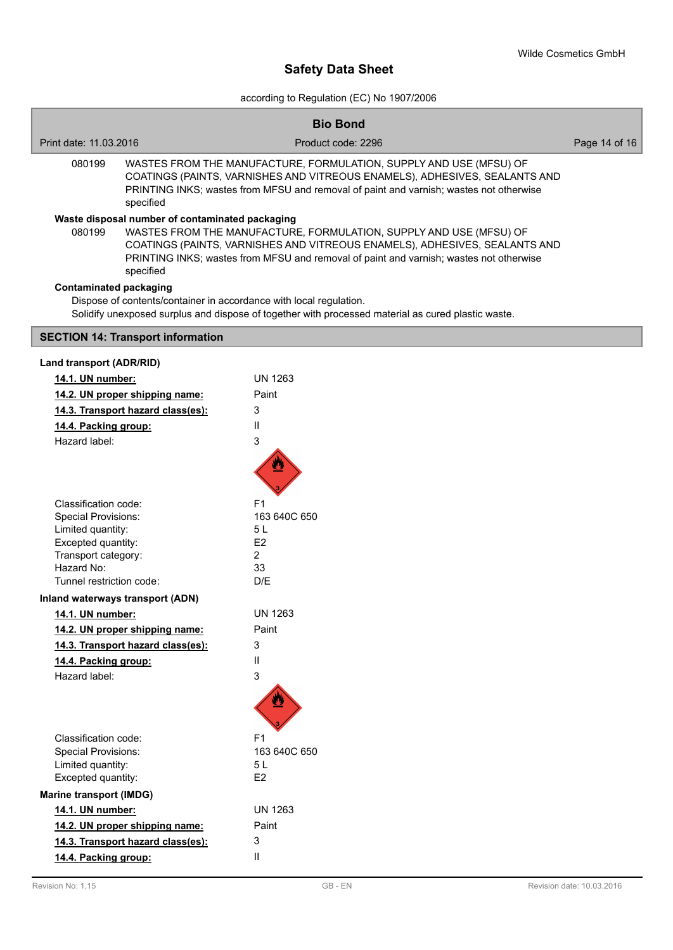according to Regulation (EC) No 1907/2006

|                                   |                                                                                                                                                                                                                                                                                               | <b>Bio Bond</b>                                                                                                                                                                                                                            |               |
|-----------------------------------|-----------------------------------------------------------------------------------------------------------------------------------------------------------------------------------------------------------------------------------------------------------------------------------------------|--------------------------------------------------------------------------------------------------------------------------------------------------------------------------------------------------------------------------------------------|---------------|
| Print date: 11.03.2016            |                                                                                                                                                                                                                                                                                               | Product code: 2296                                                                                                                                                                                                                         | Page 14 of 16 |
| 080199<br>specified               |                                                                                                                                                                                                                                                                                               | WASTES FROM THE MANUFACTURE, FORMULATION, SUPPLY AND USE (MFSU) OF<br>COATINGS (PAINTS, VARNISHES AND VITREOUS ENAMELS), ADHESIVES, SEALANTS AND<br>PRINTING INKS; wastes from MFSU and removal of paint and varnish; wastes not otherwise |               |
| 080199                            | Waste disposal number of contaminated packaging<br>WASTES FROM THE MANUFACTURE, FORMULATION, SUPPLY AND USE (MFSU) OF<br>COATINGS (PAINTS, VARNISHES AND VITREOUS ENAMELS), ADHESIVES, SEALANTS AND<br>PRINTING INKS; wastes from MFSU and removal of paint and varnish; wastes not otherwise |                                                                                                                                                                                                                                            |               |
| <b>Contaminated packaging</b>     |                                                                                                                                                                                                                                                                                               | Dispose of contents/container in accordance with local regulation.<br>Solidify unexposed surplus and dispose of together with processed material as cured plastic waste.                                                                   |               |
|                                   | <b>SECTION 14: Transport information</b>                                                                                                                                                                                                                                                      |                                                                                                                                                                                                                                            |               |
| Land transport (ADR/RID)          |                                                                                                                                                                                                                                                                                               |                                                                                                                                                                                                                                            |               |
| 14.1. UN number:                  |                                                                                                                                                                                                                                                                                               | <b>UN 1263</b>                                                                                                                                                                                                                             |               |
|                                   | 14.2. UN proper shipping name:                                                                                                                                                                                                                                                                | Paint                                                                                                                                                                                                                                      |               |
|                                   | 14.3. Transport hazard class(es):                                                                                                                                                                                                                                                             | 3                                                                                                                                                                                                                                          |               |
| 14.4. Packing group:              |                                                                                                                                                                                                                                                                                               | Ш                                                                                                                                                                                                                                          |               |
| Hazard label:                     |                                                                                                                                                                                                                                                                                               | 3                                                                                                                                                                                                                                          |               |
|                                   |                                                                                                                                                                                                                                                                                               |                                                                                                                                                                                                                                            |               |
| Classification code:              |                                                                                                                                                                                                                                                                                               | F <sub>1</sub>                                                                                                                                                                                                                             |               |
| <b>Special Provisions:</b>        |                                                                                                                                                                                                                                                                                               | 163 640C 650                                                                                                                                                                                                                               |               |
| Limited quantity:                 |                                                                                                                                                                                                                                                                                               | 5L                                                                                                                                                                                                                                         |               |
| Excepted quantity:                |                                                                                                                                                                                                                                                                                               | E <sub>2</sub>                                                                                                                                                                                                                             |               |
| Transport category:<br>Hazard No: |                                                                                                                                                                                                                                                                                               | $\overline{2}$<br>33                                                                                                                                                                                                                       |               |
| Tunnel restriction code:          |                                                                                                                                                                                                                                                                                               | D/E                                                                                                                                                                                                                                        |               |
|                                   | Inland waterways transport (ADN)                                                                                                                                                                                                                                                              |                                                                                                                                                                                                                                            |               |
| 14.1. UN number:                  |                                                                                                                                                                                                                                                                                               | <b>UN 1263</b>                                                                                                                                                                                                                             |               |
|                                   | 14.2. UN proper shipping name:                                                                                                                                                                                                                                                                | Paint                                                                                                                                                                                                                                      |               |
|                                   | 14.3. Transport hazard class(es):                                                                                                                                                                                                                                                             | 3                                                                                                                                                                                                                                          |               |
| 14.4. Packing group:              |                                                                                                                                                                                                                                                                                               | Ш                                                                                                                                                                                                                                          |               |
| Hazard label:                     |                                                                                                                                                                                                                                                                                               | 3                                                                                                                                                                                                                                          |               |
|                                   |                                                                                                                                                                                                                                                                                               |                                                                                                                                                                                                                                            |               |
| Classification code:              |                                                                                                                                                                                                                                                                                               | F <sub>1</sub>                                                                                                                                                                                                                             |               |
| <b>Special Provisions:</b>        |                                                                                                                                                                                                                                                                                               | 163 640C 650                                                                                                                                                                                                                               |               |
| Limited quantity:                 |                                                                                                                                                                                                                                                                                               | 5L                                                                                                                                                                                                                                         |               |
| Excepted quantity:                |                                                                                                                                                                                                                                                                                               | E <sub>2</sub>                                                                                                                                                                                                                             |               |
| <b>Marine transport (IMDG)</b>    |                                                                                                                                                                                                                                                                                               |                                                                                                                                                                                                                                            |               |
| 14.1. UN number:                  |                                                                                                                                                                                                                                                                                               | <b>UN 1263</b>                                                                                                                                                                                                                             |               |
|                                   | 14.2. UN proper shipping name:                                                                                                                                                                                                                                                                | Paint                                                                                                                                                                                                                                      |               |
|                                   | 14.3. Transport hazard class(es):                                                                                                                                                                                                                                                             | 3                                                                                                                                                                                                                                          |               |

**14.4. Packing group:** II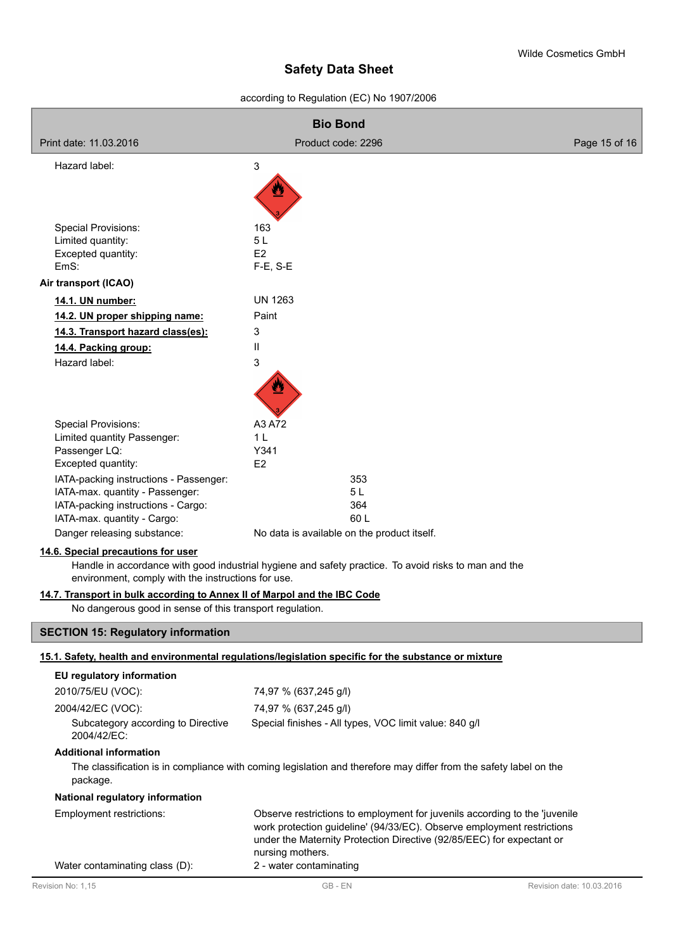according to Regulation (EC) No 1907/2006

| <b>Bio Bond</b>                                                          |                                                                                                                                                                                                                                                   |                           |  |  |
|--------------------------------------------------------------------------|---------------------------------------------------------------------------------------------------------------------------------------------------------------------------------------------------------------------------------------------------|---------------------------|--|--|
| Print date: 11.03.2016                                                   | Product code: 2296                                                                                                                                                                                                                                | Page 15 of 16             |  |  |
| Hazard label:                                                            | 3                                                                                                                                                                                                                                                 |                           |  |  |
|                                                                          |                                                                                                                                                                                                                                                   |                           |  |  |
|                                                                          |                                                                                                                                                                                                                                                   |                           |  |  |
|                                                                          |                                                                                                                                                                                                                                                   |                           |  |  |
| <b>Special Provisions:</b><br>Limited quantity:                          | 163<br>5L                                                                                                                                                                                                                                         |                           |  |  |
| Excepted quantity:                                                       | E <sub>2</sub>                                                                                                                                                                                                                                    |                           |  |  |
| EmS:                                                                     | $F-E$ , $S-E$                                                                                                                                                                                                                                     |                           |  |  |
| Air transport (ICAO)                                                     |                                                                                                                                                                                                                                                   |                           |  |  |
| 14.1. UN number:                                                         | <b>UN 1263</b>                                                                                                                                                                                                                                    |                           |  |  |
| 14.2. UN proper shipping name:                                           | Paint                                                                                                                                                                                                                                             |                           |  |  |
| 14.3. Transport hazard class(es):                                        | 3                                                                                                                                                                                                                                                 |                           |  |  |
| 14.4. Packing group:                                                     | $\mathbf{I}$                                                                                                                                                                                                                                      |                           |  |  |
| Hazard label:                                                            | 3                                                                                                                                                                                                                                                 |                           |  |  |
|                                                                          |                                                                                                                                                                                                                                                   |                           |  |  |
|                                                                          |                                                                                                                                                                                                                                                   |                           |  |  |
| Special Provisions:                                                      | A3 A72                                                                                                                                                                                                                                            |                           |  |  |
| Limited quantity Passenger:                                              | 1 <sub>L</sub>                                                                                                                                                                                                                                    |                           |  |  |
| Passenger LQ:                                                            | Y341<br>E <sub>2</sub>                                                                                                                                                                                                                            |                           |  |  |
| Excepted quantity:<br>IATA-packing instructions - Passenger:             | 353                                                                                                                                                                                                                                               |                           |  |  |
| IATA-max. quantity - Passenger:                                          | 5L                                                                                                                                                                                                                                                |                           |  |  |
| IATA-packing instructions - Cargo:                                       | 364                                                                                                                                                                                                                                               |                           |  |  |
| IATA-max. quantity - Cargo:                                              | 60L                                                                                                                                                                                                                                               |                           |  |  |
| Danger releasing substance:                                              | No data is available on the product itself.                                                                                                                                                                                                       |                           |  |  |
| 14.6. Special precautions for user                                       | Handle in accordance with good industrial hygiene and safety practice. To avoid risks to man and the                                                                                                                                              |                           |  |  |
| environment, comply with the instructions for use.                       |                                                                                                                                                                                                                                                   |                           |  |  |
| 14.7. Transport in bulk according to Annex II of Marpol and the IBC Code |                                                                                                                                                                                                                                                   |                           |  |  |
| No dangerous good in sense of this transport regulation.                 |                                                                                                                                                                                                                                                   |                           |  |  |
| <b>SECTION 15: Regulatory information</b>                                |                                                                                                                                                                                                                                                   |                           |  |  |
|                                                                          | 15.1. Safety, health and environmental regulations/legislation specific for the substance or mixture                                                                                                                                              |                           |  |  |
| EU regulatory information                                                |                                                                                                                                                                                                                                                   |                           |  |  |
| 2010/75/EU (VOC):                                                        | 74,97 % (637,245 g/l)                                                                                                                                                                                                                             |                           |  |  |
| 2004/42/EC (VOC):                                                        | 74,97 % (637,245 g/l)                                                                                                                                                                                                                             |                           |  |  |
| Subcategory according to Directive<br>2004/42/EC:                        | Special finishes - All types, VOC limit value: 840 g/l                                                                                                                                                                                            |                           |  |  |
| <b>Additional information</b>                                            |                                                                                                                                                                                                                                                   |                           |  |  |
| package.                                                                 | The classification is in compliance with coming legislation and therefore may differ from the safety label on the                                                                                                                                 |                           |  |  |
| National regulatory information                                          |                                                                                                                                                                                                                                                   |                           |  |  |
| Employment restrictions:                                                 | Observe restrictions to employment for juvenils according to the 'juvenile<br>work protection guideline' (94/33/EC). Observe employment restrictions<br>under the Maternity Protection Directive (92/85/EEC) for expectant or<br>nursing mothers. |                           |  |  |
| Water contaminating class (D):                                           | 2 - water contaminating                                                                                                                                                                                                                           |                           |  |  |
| Revision No: 1,15                                                        | GB - EN                                                                                                                                                                                                                                           | Revision date: 10.03.2016 |  |  |